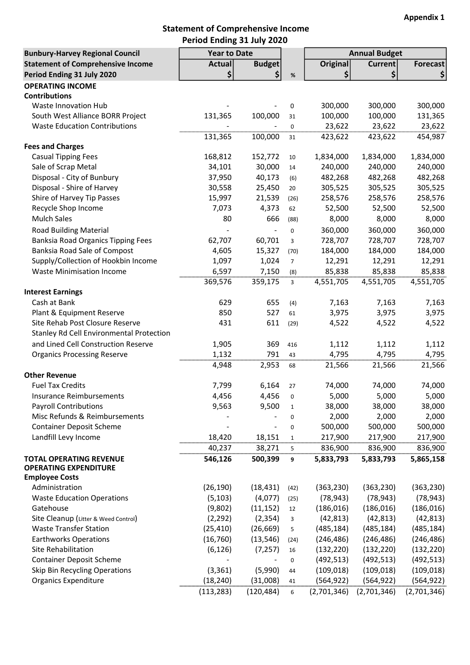## Statement of Comprehensive Income Period Ending 31 July 2020

| <b>Bunbury-Harvey Regional Council</b>                | <b>Year to Date</b> |                          |                |                 | <b>Annual Budget</b> |                 |
|-------------------------------------------------------|---------------------|--------------------------|----------------|-----------------|----------------------|-----------------|
| <b>Statement of Comprehensive Income</b>              | Actual              | <b>Budget</b>            |                | <b>Original</b> | <b>Current</b>       | <b>Forecast</b> |
| Period Ending 31 July 2020                            | \$                  | \$                       | $\%$           | \$              | \$                   |                 |
| <b>OPERATING INCOME</b>                               |                     |                          |                |                 |                      |                 |
| <b>Contributions</b>                                  |                     |                          |                |                 |                      |                 |
| Waste Innovation Hub                                  |                     |                          | 0              | 300,000         | 300,000              | 300,000         |
| South West Alliance BORR Project                      | 131,365             | 100,000                  | 31             | 100,000         | 100,000              | 131,365         |
| <b>Waste Education Contributions</b>                  |                     |                          | $\mathbf 0$    | 23,622          | 23,622               | 23,622          |
|                                                       | 131,365             | 100,000                  | 31             | 423,622         | 423,622              | 454,987         |
| <b>Fees and Charges</b>                               |                     |                          |                |                 |                      |                 |
| <b>Casual Tipping Fees</b>                            | 168,812             | 152,772                  | 10             | 1,834,000       | 1,834,000            | 1,834,000       |
| Sale of Scrap Metal                                   | 34,101              | 30,000                   | 14             | 240,000         | 240,000              | 240,000         |
| Disposal - City of Bunbury                            | 37,950              | 40,173                   | (6)            | 482,268         | 482,268              | 482,268         |
| Disposal - Shire of Harvey                            | 30,558              | 25,450                   | 20             | 305,525         | 305,525              | 305,525         |
| Shire of Harvey Tip Passes                            | 15,997              | 21,539                   | (26)           | 258,576         | 258,576              | 258,576         |
| Recycle Shop Income                                   | 7,073               | 4,373                    | 62             | 52,500          | 52,500               | 52,500          |
| <b>Mulch Sales</b>                                    | 80                  | 666                      | (88)           | 8,000           | 8,000                | 8,000           |
| <b>Road Building Material</b>                         |                     |                          | $\mathbf 0$    | 360,000         | 360,000              | 360,000         |
| <b>Banksia Road Organics Tipping Fees</b>             | 62,707              | 60,701                   | 3              | 728,707         | 728,707              | 728,707         |
| Banksia Road Sale of Compost                          | 4,605               | 15,327                   | (70)           | 184,000         | 184,000              | 184,000         |
| Supply/Collection of Hookbin Income                   | 1,097               | 1,024                    | $\overline{7}$ | 12,291          | 12,291               | 12,291          |
| <b>Waste Minimisation Income</b>                      | 6,597               | 7,150                    | (8)            | 85,838          | 85,838               | 85,838          |
|                                                       | 369,576             | 359,175                  | 3              | 4,551,705       | 4,551,705            | 4,551,705       |
| <b>Interest Earnings</b>                              |                     |                          |                |                 |                      |                 |
| Cash at Bank                                          | 629                 | 655                      | (4)            | 7,163           | 7,163                | 7,163           |
| Plant & Equipment Reserve                             | 850                 | 527                      | 61             | 3,975           | 3,975                | 3,975           |
| Site Rehab Post Closure Reserve                       | 431                 | 611                      | (29)           | 4,522           | 4,522                | 4,522           |
| Stanley Rd Cell Environmental Protection              |                     |                          |                |                 |                      |                 |
| and Lined Cell Construction Reserve                   | 1,905               | 369                      |                | 1,112           | 1,112                | 1,112           |
|                                                       | 1,132               | 791                      | 416            |                 |                      |                 |
| <b>Organics Processing Reserve</b>                    |                     |                          | 43             | 4,795           | 4,795                | 4,795           |
| <b>Other Revenue</b>                                  | 4,948               | 2,953                    | 68             | 21,566          | 21,566               | 21,566          |
| <b>Fuel Tax Credits</b>                               |                     |                          |                |                 |                      | 74,000          |
|                                                       | 7,799               | 6,164                    | 27             | 74,000          | 74,000               |                 |
| Insurance Reimbursements                              | 4,456               | 4,456                    | 0              | 5,000           | 5,000                | 5,000           |
| <b>Payroll Contributions</b>                          | 9,563               | 9,500                    | $\mathbf{1}$   | 38,000          | 38,000               | 38,000          |
| Misc Refunds & Reimbursements                         |                     |                          | 0              | 2,000           | 2,000                | 2,000           |
| <b>Container Deposit Scheme</b>                       |                     | $\overline{\phantom{0}}$ | $\mathbf 0$    | 500,000         | 500,000              | 500,000         |
| Landfill Levy Income                                  | 18,420              | 18,151                   | $\mathbf 1$    | 217,900         | 217,900              | 217,900         |
|                                                       | 40,237              | 38,271                   | 5              | 836,900         | 836,900              | 836,900         |
| <b>TOTAL OPERATING REVENUE</b>                        | 546,126             | 500,399                  | 9              | 5,833,793       | 5,833,793            | 5,865,158       |
| <b>OPERATING EXPENDITURE</b><br><b>Employee Costs</b> |                     |                          |                |                 |                      |                 |
| Administration                                        |                     |                          |                |                 | (363, 230)           |                 |
|                                                       | (26, 190)           | (18, 431)                | (42)           | (363, 230)      |                      | (363, 230)      |
| <b>Waste Education Operations</b>                     | (5, 103)            | (4,077)                  | (25)           | (78, 943)       | (78, 943)            | (78, 943)       |
| Gatehouse                                             | (9,802)             | (11, 152)                | 12             | (186, 016)      | (186, 016)           | (186, 016)      |
| Site Cleanup (Litter & Weed Control)                  | (2, 292)            | (2, 354)                 | 3              | (42, 813)       | (42, 813)            | (42, 813)       |
| <b>Waste Transfer Station</b>                         | (25, 410)           | (26, 669)                | 5              | (485, 184)      | (485, 184)           | (485, 184)      |
| <b>Earthworks Operations</b>                          | (16, 760)           | (13, 546)                | (24)           | (246, 486)      | (246, 486)           | (246, 486)      |
| Site Rehabilitation                                   | (6, 126)            | (7, 257)                 | 16             | (132, 220)      | (132, 220)           | (132, 220)      |
| <b>Container Deposit Scheme</b>                       |                     |                          | $\mathbf 0$    | (492, 513)      | (492, 513)           | (492, 513)      |
| Skip Bin Recycling Operations                         | (3, 361)            | (5,990)                  | 44             | (109, 018)      | (109, 018)           | (109, 018)      |
| <b>Organics Expenditure</b>                           | (18, 240)           | (31,008)                 | 41             | (564, 922)      | (564, 922)           | (564, 922)      |
|                                                       | (113, 283)          | (120, 484)               | 6              | (2,701,346)     | (2,701,346)          | (2,701,346)     |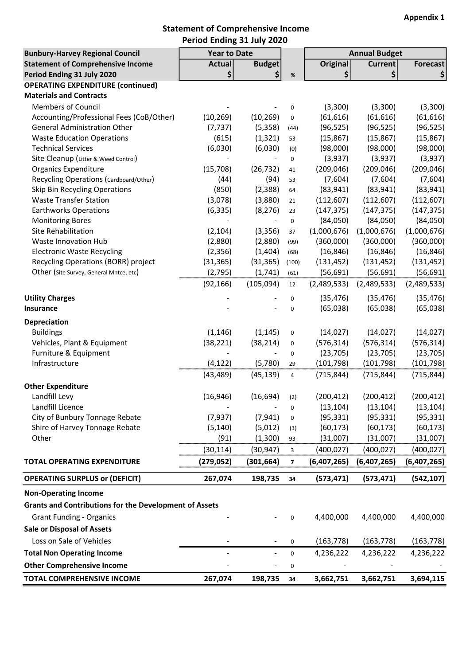## Statement of Comprehensive Income Period Ending 31 July 2020

| <b>Bunbury-Harvey Regional Council</b>                        | <b>Year to Date</b> |                |                          |                 |                                        |                 |
|---------------------------------------------------------------|---------------------|----------------|--------------------------|-----------------|----------------------------------------|-----------------|
| <b>Statement of Comprehensive Income</b>                      | <b>Actual</b>       | <b>Budget</b>  |                          | <b>Original</b> | <b>Annual Budget</b><br><b>Current</b> | <b>Forecast</b> |
| Period Ending 31 July 2020                                    | \$                  | \$             | $\%$                     | \$              | $\left  \boldsymbol{\zeta} \right $    | \$              |
| <b>OPERATING EXPENDITURE (continued)</b>                      |                     |                |                          |                 |                                        |                 |
| <b>Materials and Contracts</b>                                |                     |                |                          |                 |                                        |                 |
| <b>Members of Council</b>                                     |                     |                | 0                        | (3,300)         | (3,300)                                | (3,300)         |
| Accounting/Professional Fees (CoB/Other)                      | (10, 269)           | (10, 269)      | $\pmb{0}$                | (61, 616)       | (61, 616)                              | (61, 616)       |
| <b>General Administration Other</b>                           | (7, 737)            | (5,358)        | (44)                     | (96, 525)       | (96, 525)                              | (96, 525)       |
| <b>Waste Education Operations</b>                             | (615)               | (1, 321)       | 53                       | (15, 867)       | (15, 867)                              | (15, 867)       |
| <b>Technical Services</b>                                     | (6,030)             | (6,030)        | (0)                      | (98,000)        | (98,000)                               | (98,000)        |
| Site Cleanup (Litter & Weed Control)                          |                     |                | 0                        | (3,937)         | (3,937)                                | (3,937)         |
| <b>Organics Expenditure</b>                                   | (15, 708)           | (26, 732)      | 41                       | (209, 046)      | (209, 046)                             | (209, 046)      |
| Recycling Operations (Cardboard/Other)                        | (44)                | (94)           | 53                       | (7,604)         | (7,604)                                | (7,604)         |
| Skip Bin Recycling Operations                                 | (850)               | (2, 388)       | 64                       | (83, 941)       | (83, 941)                              | (83, 941)       |
| <b>Waste Transfer Station</b>                                 | (3,078)             | (3,880)        | 21                       | (112, 607)      | (112, 607)                             | (112, 607)      |
| <b>Earthworks Operations</b>                                  | (6, 335)            | (8, 276)       | 23                       | (147, 375)      | (147, 375)                             | (147, 375)      |
| <b>Monitoring Bores</b>                                       |                     |                | 0                        | (84,050)        | (84,050)                               | (84,050)        |
| Site Rehabilitation                                           | (2, 104)            | (3,356)        | 37                       | (1,000,676)     | (1,000,676)                            | (1,000,676)     |
| Waste Innovation Hub                                          | (2,880)             | (2,880)        | (99)                     | (360,000)       | (360,000)                              | (360,000)       |
| <b>Electronic Waste Recycling</b>                             | (2, 356)            | (1,404)        | (68)                     | (16, 846)       | (16, 846)                              | (16, 846)       |
| Recycling Operations (BORR) project                           | (31, 365)           | (31, 365)      | (100)                    | (131, 452)      | (131, 452)                             | (131, 452)      |
| Other (Site Survey, General Mntce, etc)                       | (2,795)             | (1,741)        | (61)                     | (56, 691)       | (56, 691)                              | (56, 691)       |
|                                                               | (92, 166)           | (105, 094)     | 12                       | (2,489,533)     | (2,489,533)                            | (2,489,533)     |
| <b>Utility Charges</b>                                        |                     |                | 0                        | (35, 476)       | (35, 476)                              | (35, 476)       |
| <b>Insurance</b>                                              |                     |                | 0                        | (65,038)        | (65,038)                               | (65,038)        |
| <b>Depreciation</b>                                           |                     |                |                          |                 |                                        |                 |
| <b>Buildings</b>                                              | (1, 146)            | (1, 145)       | 0                        | (14, 027)       | (14, 027)                              | (14, 027)       |
| Vehicles, Plant & Equipment                                   | (38, 221)           | (38, 214)      | 0                        | (576, 314)      | (576, 314)                             | (576, 314)      |
| Furniture & Equipment                                         |                     |                | $\mathbf 0$              | (23, 705)       | (23, 705)                              | (23, 705)       |
| Infrastructure                                                | (4, 122)            | (5,780)        | 29                       | (101, 798)      | (101, 798)                             | (101, 798)      |
|                                                               | (43, 489)           | (45, 139)      | $\overline{\mathbf{4}}$  | (715, 844)      | (715, 844)                             | (715, 844)      |
| <b>Other Expenditure</b>                                      |                     |                |                          |                 |                                        |                 |
| Landfill Levy                                                 | (16, 946)           | (16, 694)      | (2)                      | (200, 412)      | (200, 412)                             | (200, 412)      |
| Landfill Licence                                              |                     |                | 0                        | (13, 104)       | (13, 104)                              | (13, 104)       |
| City of Bunbury Tonnage Rebate                                | (7, 937)            | (7, 941)       | $\pmb{0}$                | (95, 331)       | (95, 331)                              | (95, 331)       |
| Shire of Harvey Tonnage Rebate                                | (5, 140)            | (5,012)        | (3)                      | (60, 173)       | (60, 173)                              | (60, 173)       |
| Other                                                         | (91)                | (1,300)        | 93                       | (31,007)        | (31,007)                               | (31,007)        |
|                                                               | (30, 114)           | (30, 947)      | 3                        | (400, 027)      | (400, 027)                             | (400, 027)      |
| <b>TOTAL OPERATING EXPENDITURE</b>                            |                     |                |                          | (6,407,265)     |                                        |                 |
|                                                               | (279, 052)          | (301, 664)     | $\overline{\phantom{a}}$ |                 | (6,407,265)                            | (6,407,265)     |
| <b>OPERATING SURPLUS or (DEFICIT)</b>                         | 267,074             | 198,735        | 34                       | (573, 471)      | (573, 471)                             | (542, 107)      |
| <b>Non-Operating Income</b>                                   |                     |                |                          |                 |                                        |                 |
| <b>Grants and Contributions for the Development of Assets</b> |                     |                |                          |                 |                                        |                 |
| <b>Grant Funding - Organics</b>                               |                     |                | 0                        | 4,400,000       | 4,400,000                              | 4,400,000       |
| <b>Sale or Disposal of Assets</b>                             |                     |                |                          |                 |                                        |                 |
| Loss on Sale of Vehicles                                      |                     |                | 0                        | (163, 778)      | (163, 778)                             | (163, 778)      |
| <b>Total Non Operating Income</b>                             |                     | $\blacksquare$ | 0                        | 4,236,222       | 4,236,222                              | 4,236,222       |
| <b>Other Comprehensive Income</b>                             |                     |                |                          |                 |                                        |                 |
|                                                               |                     |                | 0                        |                 |                                        |                 |
| TOTAL COMPREHENSIVE INCOME                                    | 267,074             | 198,735        | 34                       | 3,662,751       | 3,662,751                              | 3,694,115       |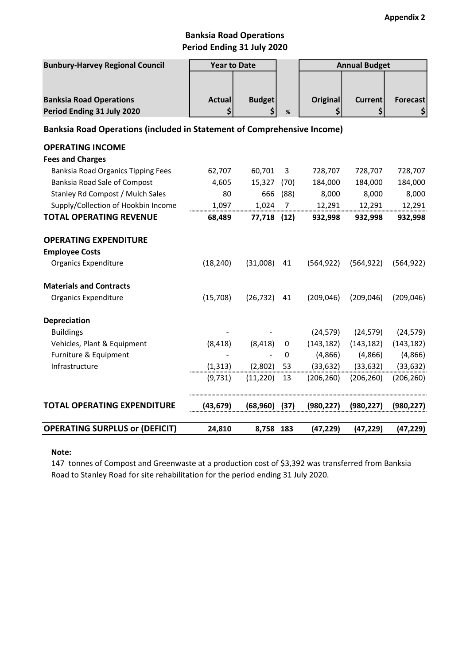# Banksia Road Operations Period Ending 31 July 2020

| <b>Bunbury-Harvey Regional Council</b>                                  | <b>Year to Date</b> |               |                | <b>Annual Budget</b> |                |                 |
|-------------------------------------------------------------------------|---------------------|---------------|----------------|----------------------|----------------|-----------------|
| <b>Banksia Road Operations</b>                                          | <b>Actual</b>       | <b>Budget</b> |                | <b>Original</b>      | <b>Current</b> | <b>Forecast</b> |
| Period Ending 31 July 2020                                              | \$                  | \$            | $\%$           | \$                   | \$             | \$              |
| Banksia Road Operations (included in Statement of Comprehensive Income) |                     |               |                |                      |                |                 |
| <b>OPERATING INCOME</b>                                                 |                     |               |                |                      |                |                 |
| <b>Fees and Charges</b>                                                 |                     |               |                |                      |                |                 |
| Banksia Road Organics Tipping Fees                                      | 62,707              | 60,701        | 3              | 728,707              | 728,707        | 728,707         |
| Banksia Road Sale of Compost                                            | 4,605               | 15,327        | (70)           | 184,000              | 184,000        | 184,000         |
| Stanley Rd Compost / Mulch Sales                                        | 80                  | 666           | (88)           | 8,000                | 8,000          | 8,000           |
| Supply/Collection of Hookbin Income                                     | 1,097               | 1,024         | $\overline{7}$ | 12,291               | 12,291         | 12,291          |
| <b>TOTAL OPERATING REVENUE</b>                                          | 68,489              | 77,718        | (12)           | 932,998              | 932,998        | 932,998         |
| <b>OPERATING EXPENDITURE</b>                                            |                     |               |                |                      |                |                 |
| <b>Employee Costs</b>                                                   |                     |               |                |                      |                |                 |
| <b>Organics Expenditure</b>                                             | (18, 240)           | (31,008)      | 41             | (564, 922)           | (564, 922)     | (564, 922)      |
| <b>Materials and Contracts</b>                                          |                     |               |                |                      |                |                 |
| <b>Organics Expenditure</b>                                             | (15,708)            | (26, 732)     | 41             | (209, 046)           | (209, 046)     | (209, 046)      |
| <b>Depreciation</b>                                                     |                     |               |                |                      |                |                 |
| <b>Buildings</b>                                                        |                     |               |                | (24, 579)            | (24, 579)      | (24, 579)       |
| Vehicles, Plant & Equipment                                             | (8, 418)            | (8, 418)      | $\pmb{0}$      | (143, 182)           | (143, 182)     | (143, 182)      |
| Furniture & Equipment                                                   |                     |               | 0              | (4,866)              | (4,866)        | (4,866)         |
| Infrastructure                                                          | (1, 313)            | (2,802)       | 53             | (33, 632)            | (33, 632)      | (33, 632)       |
|                                                                         | (9,731)             | (11, 220)     | 13             | (206, 260)           | (206, 260)     | (206, 260)      |
| <b>TOTAL OPERATING EXPENDITURE</b>                                      | (43, 679)           | (68, 960)     | (37)           | (980, 227)           | (980, 227)     | (980, 227)      |
| <b>OPERATING SURPLUS or (DEFICIT)</b>                                   | 24,810              | 8,758 183     |                | (47, 229)            | (47, 229)      | (47, 229)       |

#### Note:

147 tonnes of Compost and Greenwaste at a production cost of \$3,392 was transferred from Banksia Road to Stanley Road for site rehabilitation for the period ending 31 July 2020.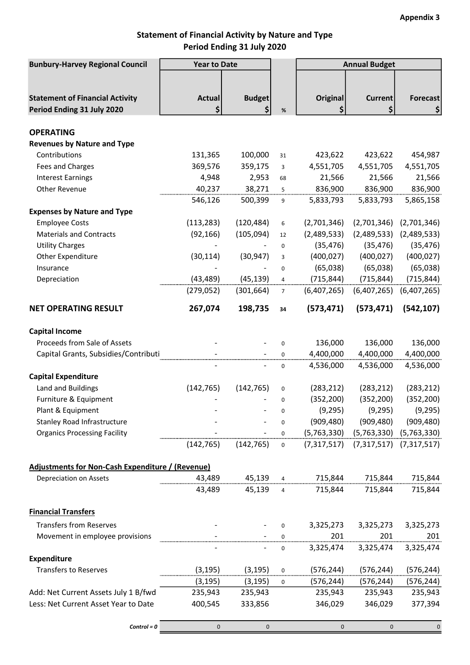# Statement of Financial Activity by Nature and Type Period Ending 31 July 2020

| <b>Bunbury-Harvey Regional Council</b>                  | <b>Year to Date</b> |               |             | <b>Annual Budget</b> |                |                             |
|---------------------------------------------------------|---------------------|---------------|-------------|----------------------|----------------|-----------------------------|
|                                                         |                     |               |             |                      |                |                             |
|                                                         |                     |               |             |                      |                |                             |
| <b>Statement of Financial Activity</b>                  | <b>Actual</b>       | <b>Budget</b> |             | <b>Original</b>      | <b>Current</b> | <b>Forecast</b>             |
| Period Ending 31 July 2020                              | \$                  | \$            | $\%$        | \$                   | \$             | \$                          |
|                                                         |                     |               |             |                      |                |                             |
| <b>OPERATING</b>                                        |                     |               |             |                      |                |                             |
| <b>Revenues by Nature and Type</b>                      |                     |               |             |                      |                |                             |
| Contributions                                           | 131,365             | 100,000       | 31          | 423,622              | 423,622        | 454,987                     |
| Fees and Charges                                        | 369,576             | 359,175       | 3           | 4,551,705            | 4,551,705      | 4,551,705                   |
| <b>Interest Earnings</b>                                | 4,948               | 2,953         | 68          | 21,566               | 21,566         | 21,566                      |
| Other Revenue                                           | 40,237              | 38,271        | 5           | 836,900              | 836,900        | 836,900                     |
|                                                         | 546,126             | 500,399       | 9           | 5,833,793            | 5,833,793      | 5,865,158                   |
| <b>Expenses by Nature and Type</b>                      |                     |               |             |                      |                |                             |
| <b>Employee Costs</b>                                   | (113, 283)          | (120, 484)    | 6           | (2,701,346)          | (2,701,346)    | (2,701,346)                 |
| <b>Materials and Contracts</b>                          | (92, 166)           | (105, 094)    | 12          | (2,489,533)          | (2,489,533)    | (2,489,533)                 |
| <b>Utility Charges</b>                                  |                     |               | 0           | (35, 476)            | (35, 476)      | (35, 476)                   |
| Other Expenditure                                       | (30, 114)           | (30, 947)     | 3           | (400, 027)           | (400, 027)     | (400, 027)                  |
| Insurance                                               |                     |               | $\mathbf 0$ | (65,038)             | (65,038)       | (65, 038)                   |
| Depreciation                                            | (43, 489)           | (45, 139)     | 4           | (715, 844)           | (715, 844)     | (715, 844)                  |
|                                                         | (279, 052)          | (301, 664)    | 7           | (6,407,265)          | (6,407,265)    | (6,407,265)                 |
| <b>NET OPERATING RESULT</b>                             | 267,074             | 198,735       | 34          | (573, 471)           | (573, 471)     | (542, 107)                  |
| <b>Capital Income</b>                                   |                     |               |             |                      |                |                             |
| Proceeds from Sale of Assets                            |                     |               | 0           | 136,000              | 136,000        | 136,000                     |
| Capital Grants, Subsidies/Contributi                    |                     |               | 0           | 4,400,000            | 4,400,000      | 4,400,000                   |
|                                                         |                     |               | 0           | 4,536,000            | 4,536,000      | 4,536,000                   |
| <b>Capital Expenditure</b>                              |                     |               |             |                      |                |                             |
| Land and Buildings                                      | (142, 765)          | (142, 765)    | 0           | (283, 212)           | (283, 212)     | (283, 212)                  |
| Furniture & Equipment                                   |                     |               | $\mathbf 0$ | (352, 200)           | (352, 200)     | (352, 200)                  |
| Plant & Equipment                                       |                     |               | 0           | (9, 295)             | (9,295)        | (9,295)                     |
| <b>Stanley Road Infrastructure</b>                      |                     |               | 0           | (909, 480)           | (909, 480)     | (909, 480)                  |
| <b>Organics Processing Facility</b>                     |                     |               | 0           | (5,763,330)          | (5,763,330)    | (5,763,330)                 |
|                                                         | (142, 765)          | (142, 765)    | 0           | (7,317,517)          |                | $(7,317,517)$ $(7,317,517)$ |
| <b>Adjustments for Non-Cash Expenditure / (Revenue)</b> |                     |               |             |                      |                |                             |
| Depreciation on Assets                                  | 43,489              | 45,139        |             | 715,844              | 715,844        | 715,844                     |
|                                                         | 43,489              | 45,139        | 4           | 715,844              | 715,844        | 715,844                     |
| <b>Financial Transfers</b>                              |                     |               |             |                      |                |                             |
| <b>Transfers from Reserves</b>                          |                     |               | 0           | 3,325,273            | 3,325,273      | 3,325,273                   |
| Movement in employee provisions                         |                     |               | 0           | 201                  | 201            | 201                         |
|                                                         |                     |               | 0           | 3,325,474            | 3,325,474      | 3,325,474                   |
| <b>Expenditure</b>                                      |                     |               |             |                      |                |                             |
| <b>Transfers to Reserves</b>                            | (3, 195)            | (3, 195)      | 0           | (576, 244)           | (576, 244)     | (576, 244)                  |
|                                                         | (3, 195)            | (3, 195)      | 0           | (576, 244)           | (576, 244)     | (576, 244)                  |
| Add: Net Current Assets July 1 B/fwd                    | 235,943             | 235,943       |             | 235,943              | 235,943        | 235,943                     |
| Less: Net Current Asset Year to Date                    | 400,545             | 333,856       |             | 346,029              | 346,029        | 377,394                     |
|                                                         |                     |               |             |                      |                |                             |
| $Control = 0$                                           | 0                   | $\mathbf 0$   |             | $\pmb{0}$            | $\pmb{0}$      | $\mathsf{O}\xspace$         |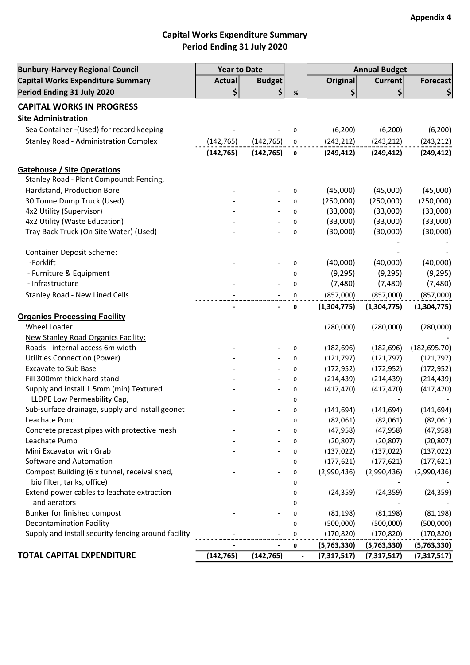# Capital Works Expenditure Summary Period Ending 31 July 2020

| <b>Bunbury-Harvey Regional Council</b>                                         | <b>Year to Date</b> |               |      | <b>Annual Budget</b> |                |               |
|--------------------------------------------------------------------------------|---------------------|---------------|------|----------------------|----------------|---------------|
| <b>Capital Works Expenditure Summary</b>                                       | <b>Actual</b>       | <b>Budget</b> |      | <b>Original</b>      | <b>Current</b> | Forecast      |
| Period Ending 31 July 2020                                                     | \$                  | \$            | $\%$ | \$                   | \$             | \$            |
| <b>CAPITAL WORKS IN PROGRESS</b>                                               |                     |               |      |                      |                |               |
| <b>Site Administration</b>                                                     |                     |               |      |                      |                |               |
| Sea Container - (Used) for record keeping                                      |                     |               | 0    | (6, 200)             | (6, 200)       | (6, 200)      |
| <b>Stanley Road - Administration Complex</b>                                   | (142, 765)          | (142, 765)    | 0    | (243, 212)           | (243, 212)     | (243, 212)    |
|                                                                                | (142, 765)          | (142, 765)    | 0    | (249, 412)           | (249, 412)     | (249, 412)    |
|                                                                                |                     |               |      |                      |                |               |
| <b>Gatehouse / Site Operations</b>                                             |                     |               |      |                      |                |               |
| Stanley Road - Plant Compound: Fencing,                                        |                     |               |      |                      |                |               |
| Hardstand, Production Bore                                                     |                     |               | 0    | (45,000)             | (45,000)       | (45,000)      |
| 30 Tonne Dump Truck (Used)                                                     |                     |               | 0    | (250,000)            | (250,000)      | (250,000)     |
| 4x2 Utility (Supervisor)                                                       |                     |               | 0    | (33,000)             | (33,000)       | (33,000)      |
| 4x2 Utility (Waste Education)                                                  |                     |               | 0    | (33,000)             | (33,000)       | (33,000)      |
| Tray Back Truck (On Site Water) (Used)                                         |                     |               | 0    | (30,000)             | (30,000)       | (30,000)      |
| <b>Container Deposit Scheme:</b>                                               |                     |               |      |                      |                |               |
| -Forklift                                                                      |                     |               | 0    | (40,000)             | (40,000)       | (40,000)      |
| - Furniture & Equipment                                                        |                     |               |      | (9, 295)             | (9, 295)       | (9, 295)      |
| - Infrastructure                                                               |                     |               | 0    | (7,480)              | (7, 480)       |               |
|                                                                                |                     |               | 0    |                      |                | (7,480)       |
| <b>Stanley Road - New Lined Cells</b>                                          |                     |               | 0    | (857,000)            | (857,000)      | (857,000)     |
| <b>Organics Processing Facility</b>                                            |                     |               | 0    | (1,304,775)          | (1,304,775)    | (1,304,775)   |
| Wheel Loader                                                                   |                     |               |      | (280,000)            | (280,000)      |               |
|                                                                                |                     |               |      |                      |                | (280,000)     |
| <b>New Stanley Road Organics Facility:</b><br>Roads - internal access 6m width |                     |               |      |                      |                |               |
|                                                                                |                     |               | 0    | (182, 696)           | (182, 696)     | (182, 695.70) |
| <b>Utilities Connection (Power)</b>                                            |                     |               | 0    | (121, 797)           | (121, 797)     | (121, 797)    |
| <b>Excavate to Sub Base</b>                                                    |                     |               | 0    | (172, 952)           | (172, 952)     | (172, 952)    |
| Fill 300mm thick hard stand                                                    |                     |               | 0    | (214, 439)           | (214, 439)     | (214, 439)    |
| Supply and install 1.5mm (min) Textured                                        |                     |               | 0    | (417, 470)           | (417, 470)     | (417, 470)    |
| LLDPE Low Permeability Cap,                                                    |                     |               | 0    |                      |                |               |
| Sub-surface drainage, supply and install geonet                                |                     |               | 0    | (141, 694)           | (141, 694)     | (141, 694)    |
| Leachate Pond                                                                  |                     |               | 0    | (82,061)             | (82,061)       | (82,061)      |
| Concrete precast pipes with protective mesh                                    |                     |               | 0    | (47, 958)            | (47, 958)      | (47, 958)     |
| Leachate Pump                                                                  |                     |               | 0    | (20, 807)            | (20, 807)      | (20, 807)     |
| Mini Excavator with Grab                                                       |                     |               | 0    | (137, 022)           | (137, 022)     | (137, 022)    |
| Software and Automation                                                        |                     |               | 0    | (177, 621)           | (177, 621)     | (177, 621)    |
| Compost Building (6 x tunnel, receival shed,                                   |                     |               | 0    | (2,990,436)          | (2,990,436)    | (2,990,436)   |
| bio filter, tanks, office)                                                     |                     |               | 0    |                      |                |               |
| Extend power cables to leachate extraction                                     |                     |               | 0    | (24, 359)            | (24, 359)      | (24, 359)     |
| and aerators                                                                   |                     |               | 0    |                      |                |               |
| Bunker for finished compost                                                    |                     |               | 0    | (81, 198)            | (81, 198)      | (81, 198)     |
| <b>Decontamination Facility</b>                                                |                     |               | 0    | (500,000)            | (500,000)      | (500,000)     |
| Supply and install security fencing around facility                            |                     |               | 0    | (170, 820)           | (170, 820)     | (170,820)     |
|                                                                                |                     |               | 0    | (5,763,330)          | (5,763,330)    | (5,763,330)   |
| <b>TOTAL CAPITAL EXPENDITURE</b>                                               | (142, 765)          | (142, 765)    |      | (7,317,517)          | (7, 317, 517)  | (7,317,517)   |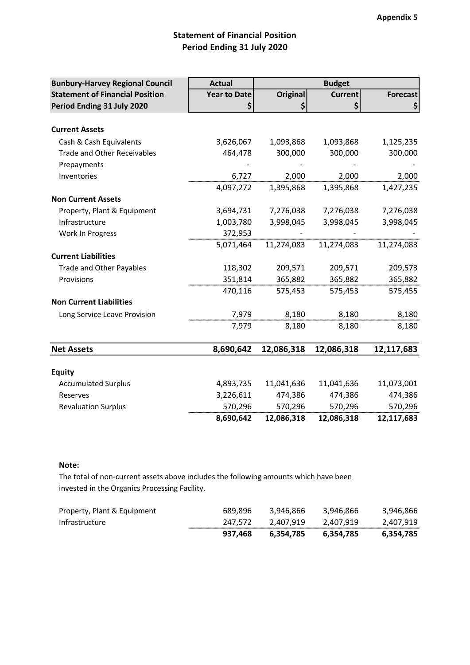# Statement of Financial Position Period Ending 31 July 2020

| <b>Bunbury-Harvey Regional Council</b> | <b>Actual</b>       |                 | <b>Budget</b>  |                 |
|----------------------------------------|---------------------|-----------------|----------------|-----------------|
| <b>Statement of Financial Position</b> | <b>Year to Date</b> | <b>Original</b> | <b>Current</b> | <b>Forecast</b> |
| Period Ending 31 July 2020             | \$                  | \$              | \$             | \$              |
|                                        |                     |                 |                |                 |
| <b>Current Assets</b>                  |                     |                 |                |                 |
| Cash & Cash Equivalents                | 3,626,067           | 1,093,868       | 1,093,868      | 1,125,235       |
| <b>Trade and Other Receivables</b>     | 464,478             | 300,000         | 300,000        | 300,000         |
| Prepayments                            |                     |                 |                |                 |
| Inventories                            | 6,727               | 2,000           | 2,000          | 2,000           |
|                                        | 4,097,272           | 1,395,868       | 1,395,868      | 1,427,235       |
| <b>Non Current Assets</b>              |                     |                 |                |                 |
| Property, Plant & Equipment            | 3,694,731           | 7,276,038       | 7,276,038      | 7,276,038       |
| Infrastructure                         | 1,003,780           | 3,998,045       | 3,998,045      | 3,998,045       |
| Work In Progress                       | 372,953             |                 |                |                 |
|                                        | 5,071,464           | 11,274,083      | 11,274,083     | 11,274,083      |
| <b>Current Liabilities</b>             |                     |                 |                |                 |
| Trade and Other Payables               | 118,302             | 209,571         | 209,571        | 209,573         |
| Provisions                             | 351,814             | 365,882         | 365,882        | 365,882         |
|                                        | 470,116             | 575,453         | 575,453        | 575,455         |
| <b>Non Current Liabilities</b>         |                     |                 |                |                 |
| Long Service Leave Provision           | 7,979               | 8,180           | 8,180          | 8,180           |
|                                        | 7,979               | 8,180           | 8,180          | 8,180           |
|                                        |                     |                 |                |                 |
| <b>Net Assets</b>                      | 8,690,642           | 12,086,318      | 12,086,318     | 12,117,683      |
|                                        |                     |                 |                |                 |
| <b>Equity</b>                          |                     |                 |                |                 |
| <b>Accumulated Surplus</b>             | 4,893,735           | 11,041,636      | 11,041,636     | 11,073,001      |
| Reserves                               | 3,226,611           | 474,386         | 474,386        | 474,386         |
| <b>Revaluation Surplus</b>             | 570,296             | 570,296         | 570,296        | 570,296         |
|                                        | 8,690,642           | 12,086,318      | 12,086,318     | 12,117,683      |

### Note:

The total of non-current assets above includes the following amounts which have been invested in the Organics Processing Facility.

| Property, Plant & Equipment | 689.896 | 3.946.866 | 3.946.866 | 3,946,866 |
|-----------------------------|---------|-----------|-----------|-----------|
| Infrastructure              | 247.572 | 2.407.919 | 2,407,919 | 2.407.919 |
|                             | 937.468 | 6.354.785 | 6.354.785 | 6,354,785 |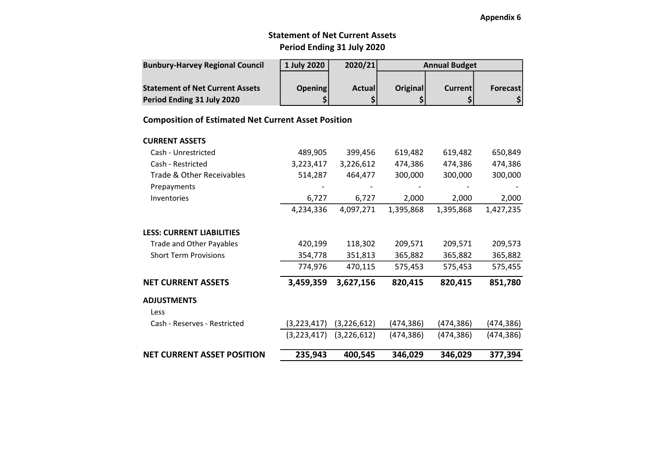### Appendix 6

## Period Ending 31 July 2020 Statement of Net Current Assets

| <b>Bunbury-Harvey Regional Council</b> | 1 July 2020 | 2020/21       |          | <b>Annual Budget</b> |          |
|----------------------------------------|-------------|---------------|----------|----------------------|----------|
|                                        |             |               |          |                      |          |
| <b>Statement of Net Current Assets</b> | Opening     | <b>Actual</b> | Original | Currentl             | Forecast |
| Period Ending 31 July 2020             |             |               |          |                      |          |

### Composition of Estimated Net Current Asset Position

| <b>CURRENT ASSETS</b>     |           |           |         |         |         |
|---------------------------|-----------|-----------|---------|---------|---------|
| Cash - Unrestricted       | 489.905   | 399.456   | 619.482 | 619.482 | 650.849 |
| Cash - Restricted         | 3.223.417 | 3.226.612 | 474.386 | 474.386 | 474.386 |
| Trade & Other Receivables | 514.287   | 464.477   | 300,000 | 300,000 | 300.000 |

| <b>NET CURRENT ASSET POSITION</b> | 235,943       | 400,545       | 346,029    | 346,029    | 377,394    |
|-----------------------------------|---------------|---------------|------------|------------|------------|
|                                   | (3,223,417)   | (3,226,612)   | (474, 386) | (474, 386) | (474, 386) |
| Cash - Reserves - Restricted      | (3, 223, 417) | (3, 226, 612) | (474, 386) | (474, 386) | (474,386)  |
| <b>ADJUSTMENTS</b><br>Less        |               |               |            |            |            |
| <b>NET CURRENT ASSETS</b>         | 3,459,359     | 3,627,156     | 820,415    | 820,415    | 851,780    |
|                                   | 774,976       | 470,115       | 575,453    | 575,453    | 575,455    |
| <b>Short Term Provisions</b>      | 354,778       | 351,813       | 365,882    | 365,882    | 365,882    |
| Trade and Other Payables          | 420,199       | 118,302       | 209,571    | 209,571    | 209,573    |
| <b>LESS: CURRENT LIABILITIES</b>  |               |               |            |            |            |
|                                   | 4,234,336     | 4,097,271     | 1,395,868  | 1,395,868  | 1,427,235  |
| Inventories                       | 6,727         | 6,727         | 2,000      | 2,000      | 2,000      |
| Prepayments                       |               |               |            |            |            |
| Trade & Other Receivables         | 514,287       | 464,477       | 300,000    | 300,000    | 300,000    |
| Cash - Restricted                 | 3,223,417     | 3,226,612     | 474,386    | 474,386    | 474,386    |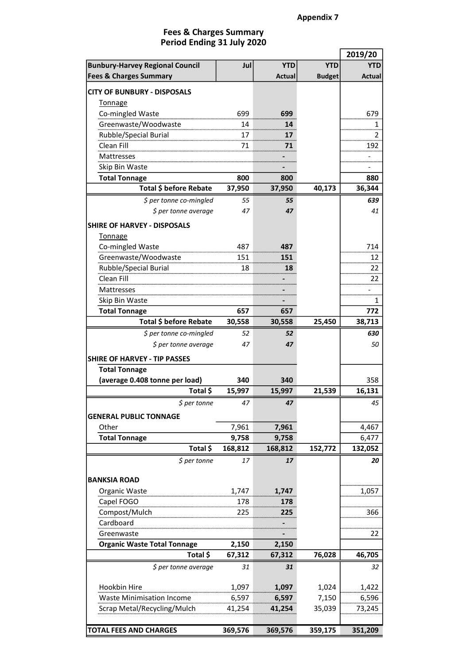#### Period Ending 31 July 2020 Fees & Charges Summary

|                                        |            |               |               | 2019/20 |
|----------------------------------------|------------|---------------|---------------|---------|
| <b>Bunbury-Harvey Regional Council</b> | Jul        | <b>YTD</b>    | <b>YTD</b>    | YTD     |
| <b>Fees &amp; Charges Summary</b>      |            | <b>Actual</b> | <b>Budget</b> | Actual  |
| <b>CITY OF BUNBURY - DISPOSALS</b>     |            |               |               |         |
| <b>Tonnage</b>                         |            |               |               |         |
| Co-mingled Waste                       | 699        | 699           |               | 679     |
| Greenwaste/Woodwaste                   | 14         | 14            |               |         |
| Rubble/Special Burial                  | 17         | 17            |               | 2       |
| Clean Fill                             | 71         | 71            |               | 192     |
| <b>Mattresses</b>                      |            |               |               |         |
| Skip Bin Waste                         |            |               |               |         |
| <b>Total Tonnage</b>                   | 800        | 800           |               | 880     |
| Total \$ before Rebate                 | 37,950     | 37,950        | 40,173        | 36,344  |
| \$ per tonne co-mingled                | 55         | 55            |               | 639     |
| \$ per tonne average                   | 47         | 47            |               | 41      |
|                                        |            |               |               |         |
| <b>SHIRE OF HARVEY - DISPOSALS</b>     |            |               |               |         |
| <b>Tonnage</b>                         |            |               |               |         |
| Co-mingled Waste                       | 487        | 487           |               | 714     |
| Greenwaste/Woodwaste                   | 151        | 151           |               | 12      |
| Rubble/Special Burial<br>18            |            | 18            |               | 22      |
| Clean Fill                             |            |               |               | 22      |
| Mattresses                             |            |               |               |         |
| Skip Bin Waste                         |            |               |               | 1       |
| <b>Total Tonnage</b>                   | 657        | 657           |               | 772     |
| Total \$ before Rebate                 | 30,558     | 30,558        | 25,450        | 38,713  |
| \$ per tonne co-mingled                | 52         | 52            |               | 630     |
| \$ per tonne average                   | 47         | 47            |               | 50      |
| <b>SHIRE OF HARVEY - TIP PASSES</b>    |            |               |               |         |
| <b>Total Tonnage</b>                   |            |               |               |         |
| (average 0.408 tonne per load)         | 340        | 340           |               | 358     |
| Total \$                               | 15,997     | 15,997        | 21,539        | 16,131  |
| \$ per tonne                           | 47         | 47            |               | 45      |
|                                        |            |               |               |         |
| <b>GENERAL PUBLIC TONNAGE</b>          |            |               |               |         |
| Other                                  | 7,961      | 7,961         |               | 4,467   |
| <b>Total Tonnage</b>                   | 9,758      | 9,758         |               | 6,477   |
| Total \$                               | 168,812    | 168,812       | 152,772       | 132,052 |
| $$$ per tonne                          | 17         | 17            |               | 20      |
| <b>BANKSIA ROAD</b>                    |            |               |               |         |
|                                        | 1,747      |               |               |         |
| Organic Waste                          |            | 1,747         |               | 1,057   |
| Capel FOGO<br>Compost/Mulch            | 178<br>225 | 178<br>225    |               | 366     |
| Cardboard                              |            |               |               |         |
| Greenwaste                             |            |               |               | 22      |
| <b>Organic Waste Total Tonnage</b>     | 2,150      | 2,150         |               |         |
| Total \$                               | 67,312     | 67,312        | 76,028        | 46,705  |
|                                        |            |               |               |         |
| \$ per tonne average                   | 31         | 31            |               | 32      |
| Hookbin Hire                           | 1,097      | 1,097         | 1,024         | 1,422   |
| <b>Waste Minimisation Income</b>       | 6,597      | 6,597         | 7,150         | 6,596   |
| Scrap Metal/Recycling/Mulch            | 41,254     | 41,254        | 35,039        | 73,245  |
|                                        |            |               |               |         |
| <b>TOTAL FEES AND CHARGES</b>          | 369,576    | 369,576       | 359,175       | 351,209 |
|                                        |            |               |               |         |